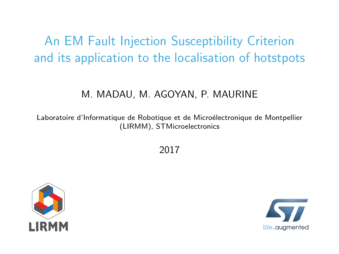# <span id="page-0-0"></span>An EM Fault Injection Susceptibility Criterion and its application to the localisation of hotstpots

## M. MADAU, M. AGOYAN, P. MAURINE

Laboratoire d'Informatique de Robotique et de Microélectronique de Montpellier (LIRMM), STMicroelectronics

2017



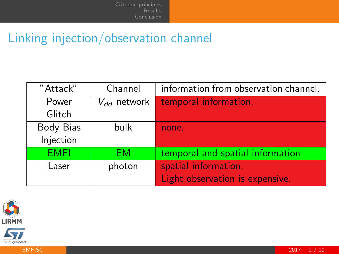# Linking injection/observation channel

| "Attack"    | Channel          | information from observation channel. |
|-------------|------------------|---------------------------------------|
| Power       | $V_{dd}$ network | temporal information.                 |
| Glitch      |                  |                                       |
| Body Bias   | bulk             | none.                                 |
| Injection   |                  |                                       |
| <b>EMFI</b> | FМ               | temporal and spatial information      |
| Laser       | photon           | spatial information.                  |
|             |                  | Light observation is expensive.       |



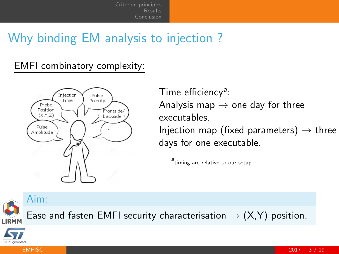[Criterion principles](#page-3-0) [Results](#page-13-0) [Conclusion](#page-18-0)

# Why binding EM analysis to injection ?

## EMFI combinatory complexity:



Time efficiency<sup>a</sup>:

Analysis map  $\rightarrow$  one day for three executables.

Injection map (fixed parameters)  $\rightarrow$  three days for one executable.

a<br>timing are relative to our setup

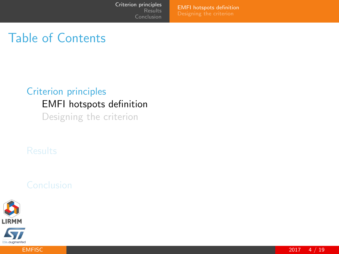[EMFI hotspots definition](#page-3-0)

# <span id="page-3-0"></span>Table of Contents

## [Criterion principles](#page-3-0) [EMFI hotspots definition](#page-3-0) [Designing the criterion](#page-8-0)



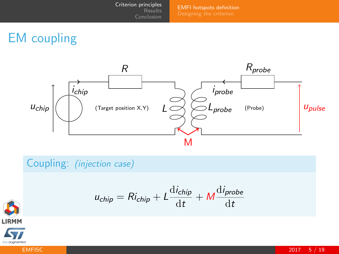[EMFI hotspots definition](#page-3-0)

# EM coupling



Coupling: (injection case)

$$
u_{chip} = Ri_{chip} + L \frac{di_{chip}}{dt} + M \frac{di_{probe}}{dt}
$$



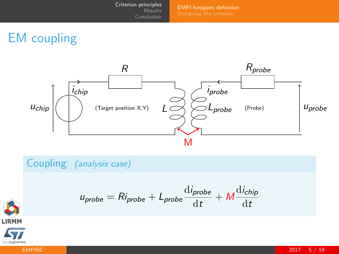[EMFI hotspots definition](#page-3-0)

# EM coupling



Coupling: (analysis case)

$$
u_{probe} = Ri_{probe} + L_{probe}\frac{di_{probe}}{dt} + M\frac{di_{chip}}{dt}
$$



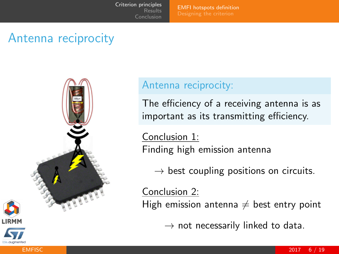[Criterion principles](#page-3-0) [Results](#page-13-0) [Conclusion](#page-18-0)

[EMFI hotspots definition](#page-3-0)

# Antenna reciprocity



## Antenna reciprocity:

The efficiency of a receiving antenna is as important as its transmitting efficiency.

Conclusion 1: Finding high emission antenna

 $\rightarrow$  best coupling positions on circuits.

Conclusion 2:

High emission antenna  $\neq$  best entry point

 $\rightarrow$  not necessarily linked to data.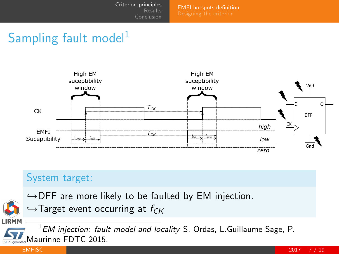[EMFI hotspots definition](#page-3-0)

# Sampling fault model<sup>1</sup>



## System target:

 $\hookrightarrow$ DFF are more likely to be faulted by EM injection.

 $\hookrightarrow$ Target event occurring at  $f_{CK}$ 

EM injection: fault model and locality S. Ordas, L. Guillaume-Sage, P. Maurinne FDTC 2015.

**LIRMM**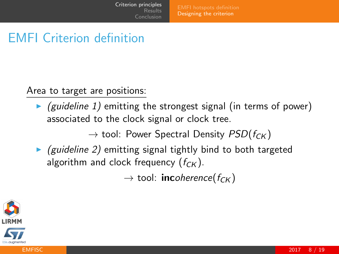# <span id="page-8-0"></span>EMFI Criterion definition

Area to target are positions:

 $\triangleright$  (guideline 1) emitting the strongest signal (in terms of power) associated to the clock signal or clock tree.

 $\rightarrow$  tool: Power Spectral Density  $PSD(f_{CK})$ 

 $\triangleright$  (guideline 2) emitting signal tightly bind to both targeted algorithm and clock frequency  $(f_{CK})$ .

 $\rightarrow$  tool: **inc**oherence( $f_{CK}$ )

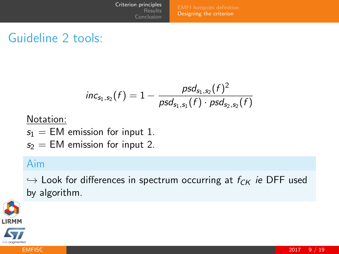[Designing the criterion](#page-8-0)

# Guideline 2 tools:

$$
\mathit{inc}_{s_1, s_2}(f) = 1 - \frac{\mathit{psd}_{s_1, s_2}(f)^2}{\mathit{psd}_{s_1, s_1}(f) \cdot \mathit{psd}_{s_2, s_2}(f)}
$$

### Notation:

- $s_1 = EM$  emission for input 1.
- $s_2 = EM$  emission for input 2.

## Aim

 $\hookrightarrow$  Look for differences in spectrum occurring at  $f_{CK}$  ie DFF used by algorithm.



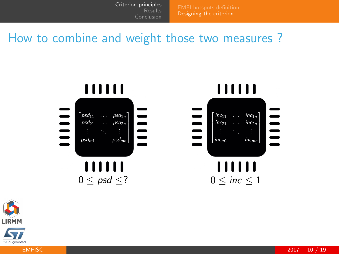[Designing the criterion](#page-8-0)

## How to combine and weight those two measures ?





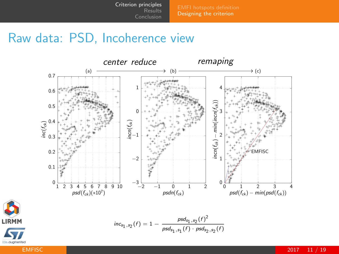[Designing the criterion](#page-8-0)

## Raw data: PSD, Incoherence view



**LIRMM** 

life, guamented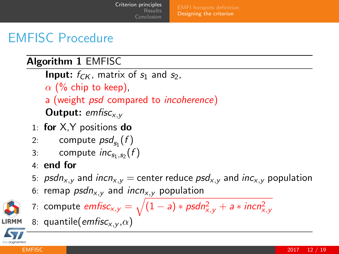[Criterion principles](#page-3-0) [Results](#page-13-0) [Conclusion](#page-18-0)

[Designing the criterion](#page-8-0)

# EMFISC Procedure

## Algorithm 1 EMFISC

**Input:**  $f_{CK}$ , matrix of  $s_1$  and  $s_2$ ,  $\alpha$  (% chip to keep). a (weight *psd* compared to *incoherence*) **Output:** emfisc $_{x,y}$ 

- 1: for X,Y positions do
- 2: compute  $psd_{s_1}(f)$
- 3: compute  $inc_{s_1, s_2}(f)$
- 4: end for
- 5: psdn<sub>x, v</sub> and incn<sub>x, v</sub> = center reduce  $psd_{x,y}$  and inc<sub>x, v</sub> population
- 6: remap  $psdn_{x,y}$  and incn<sub>x, y</sub> population



- 7: compute  $\mathit{emfisc}_{\mathsf{x},\mathsf{y}} = \sqrt{(1 \mathsf{a}) * \mathsf{psd} n_{\mathsf{x},\mathsf{y}}^2 + \mathsf{a} * \mathsf{incn}_{\mathsf{x},\mathsf{y}}^2}$
- 8: quantile( $emfisc_{x,y}(\alpha)$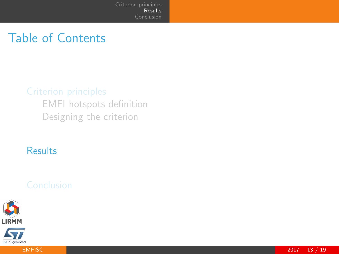# <span id="page-13-0"></span>Table of Contents

[EMFI hotspots definition](#page-3-0) [Designing the criterion](#page-8-0)

### [Results](#page-13-0)



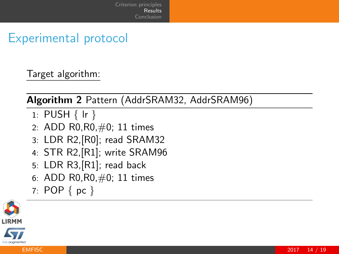# Experimental protocol

Target algorithm:

Algorithm 2 Pattern (AddrSRAM32, AddrSRAM96)

- 1: PUSH { lr }
- 2: ADD R0,R0,#0; 11 times
- 3: LDR R2,[R0]; read SRAM32
- 4: STR R2,[R1]; write SRAM96
- 5: LDR R3,[R1]; read back
- 6: ADD R0,R0,#0; 11 times
- 7: POP { pc }

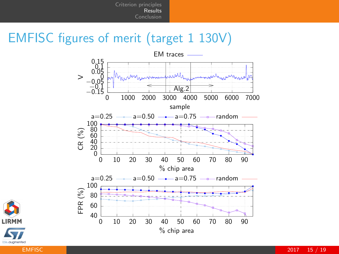# EMFISC figures of merit (target 1 130V)





[EMFISC](#page-0-0) 2017 15 / 19 MHz 2007 2017 15 / 19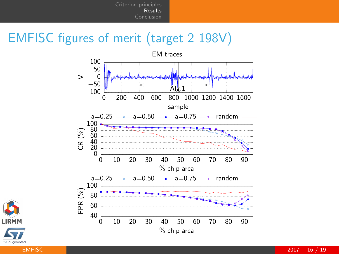# EMFISC figures of merit (target 2 198V)



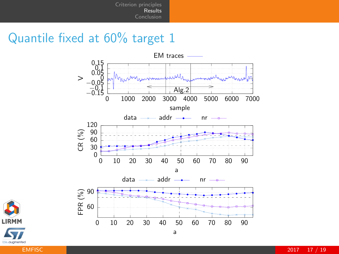# Quantile fixed at 60% target 1





[EMFISC](#page-0-0) 2017 17 / 19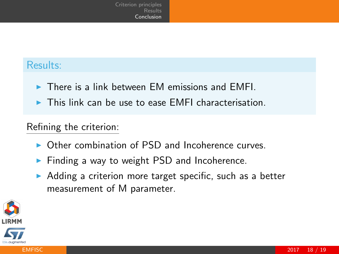## <span id="page-18-0"></span>Results:

- $\triangleright$  There is a link between EM emissions and EMFI.
- $\blacktriangleright$  This link can be use to ease EMFI characterisation.

### Refining the criterion:

- $\triangleright$  Other combination of PSD and Incoherence curves.
- $\blacktriangleright$  Finding a way to weight PSD and Incoherence.
- Adding a criterion more target specific, such as a better measurement of M parameter.